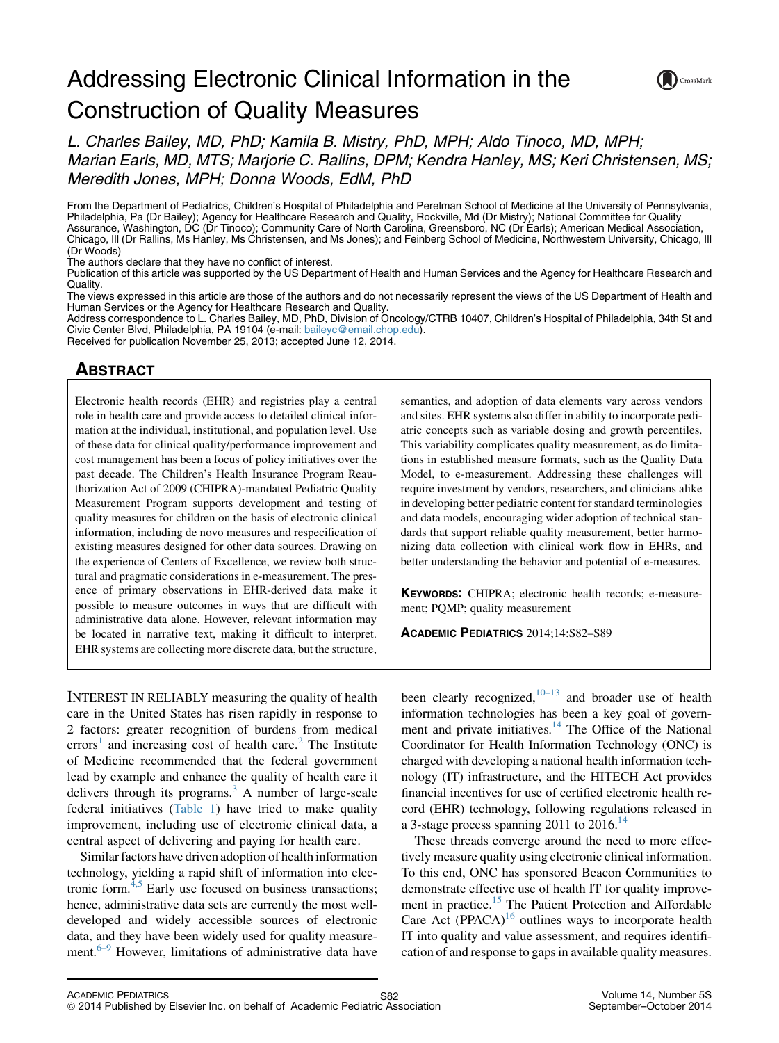## Addressing Electronic Clinical Information in the Construction of Quality Measures



L. Charles Bailey, MD, PhD; Kamila B. Mistry, PhD, MPH; Aldo Tinoco, MD, MPH; Marian Earls, MD, MTS; Marjorie C. Rallins, DPM; Kendra Hanley, MS; Keri Christensen, MS; Meredith Jones, MPH; Donna Woods, EdM, PhD

From the Department of Pediatrics, Children's Hospital of Philadelphia and Perelman School of Medicine at the University of Pennsylvania, Philadelphia, Pa (Dr Bailey); Agency for Healthcare Research and Quality, Rockville, Md (Dr Mistry); National Committee for Quality Assurance, Washington, DC (Dr Tinoco); Community Care of North Carolina, Greensboro, NC (Dr Earls); American Medical Association, Chicago, Ill (Dr Rallins, Ms Hanley, Ms Christensen, and Ms Jones); and Feinberg School of Medicine, Northwestern University, Chicago, Ill (Dr Woods)

The authors declare that they have no conflict of interest.

Publication of this article was supported by the US Department of Health and Human Services and the Agency for Healthcare Research and Quality.

Address correspondence to L. Charles Bailey, MD, PhD, Division of Oncology/CTRB 10407, Children's Hospital of Philadelphia, 34th St and Civic Center Blvd, Philadelphia, PA 19104 (e-mail: [baileyc@email.chop.edu\)](mailto:baileyc@email.chop.edu).

Received for publication November 25, 2013; accepted June 12, 2014.

# <u>ABSOLUTE</u>

Electronic health records (EHR) and registries play a central role in health care and provide access to detailed clinical information at the individual, institutional, and population level. Use of these data for clinical quality/performance improvement and cost management has been a focus of policy initiatives over the past decade. The Children's Health Insurance Program Reauthorization Act of 2009 (CHIPRA)-mandated Pediatric Quality Measurement Program supports development and testing of quality measures for children on the basis of electronic clinical information, including de novo measures and respecification of existing measures designed for other data sources. Drawing on the experience of Centers of Excellence, we review both structural and pragmatic considerations in e-measurement. The presence of primary observations in EHR-derived data make it possible to measure outcomes in ways that are difficult with administrative data alone. However, relevant information may be located in narrative text, making it difficult to interpret. EHR systems are collecting more discrete data, but the structure,

semantics, and adoption of data elements vary across vendors and sites. EHR systems also differ in ability to incorporate pediatric concepts such as variable dosing and growth percentiles. This variability complicates quality measurement, as do limitations in established measure formats, such as the Quality Data Model, to e-measurement. Addressing these challenges will require investment by vendors, researchers, and clinicians alike in developing better pediatric content for standard terminologies and data models, encouraging wider adoption of technical standards that support reliable quality measurement, better harmonizing data collection with clinical work flow in EHRs, and better understanding the behavior and potential of e-measures.

KEYWORDS: CHIPRA; electronic health records; e-measurement; PQMP; quality measurement

ACADEMIC PEDIATRICS 2014;14:S82–S89

INTEREST IN RELIABLY measuring the quality of health care in the United States has risen rapidly in response to 2 factors: greater recognition of burdens from medical errors<sup>[1](#page-6-0)</sup> and increasing cost of health care.<sup>[2](#page-6-0)</sup> The Institute of Medicine recommended that the federal government lead by example and enhance the quality of health care it delivers through its programs. $3$  A number of large-scale federal initiatives [\(Table 1](#page-1-0)) have tried to make quality improvement, including use of electronic clinical data, a central aspect of delivering and paying for health care.

Similar factors have driven adoption of health information technology, yielding a rapid shift of information into electronic form. $4,5$  Early use focused on business transactions; hence, administrative data sets are currently the most welldeveloped and widely accessible sources of electronic data, and they have been widely used for quality measure-ment.<sup>[6–9](#page-6-0)</sup> However, limitations of administrative data have

been clearly recognized,  $10-13$  and broader use of health information technologies has been a key goal of government and private initiatives.<sup>14</sup> The Office of the National Coordinator for Health Information Technology (ONC) is charged with developing a national health information technology (IT) infrastructure, and the HITECH Act provides financial incentives for use of certified electronic health record (EHR) technology, following regulations released in a 3-stage process spanning 2011 to  $2016$ .<sup>14</sup>

These threads converge around the need to more effectively measure quality using electronic clinical information. To this end, ONC has sponsored Beacon Communities to demonstrate effective use of health IT for quality improve-ment in practice.<sup>[15](#page-7-0)</sup> The Patient Protection and Affordable Care Act  $(PPACA)^{16}$  outlines ways to incorporate health IT into quality and value assessment, and requires identification of and response to gaps in available quality measures.

The views expressed in this article are those of the authors and do not necessarily represent the views of the US Department of Health and Human Services or the Agency for Healthcare Research and Quality.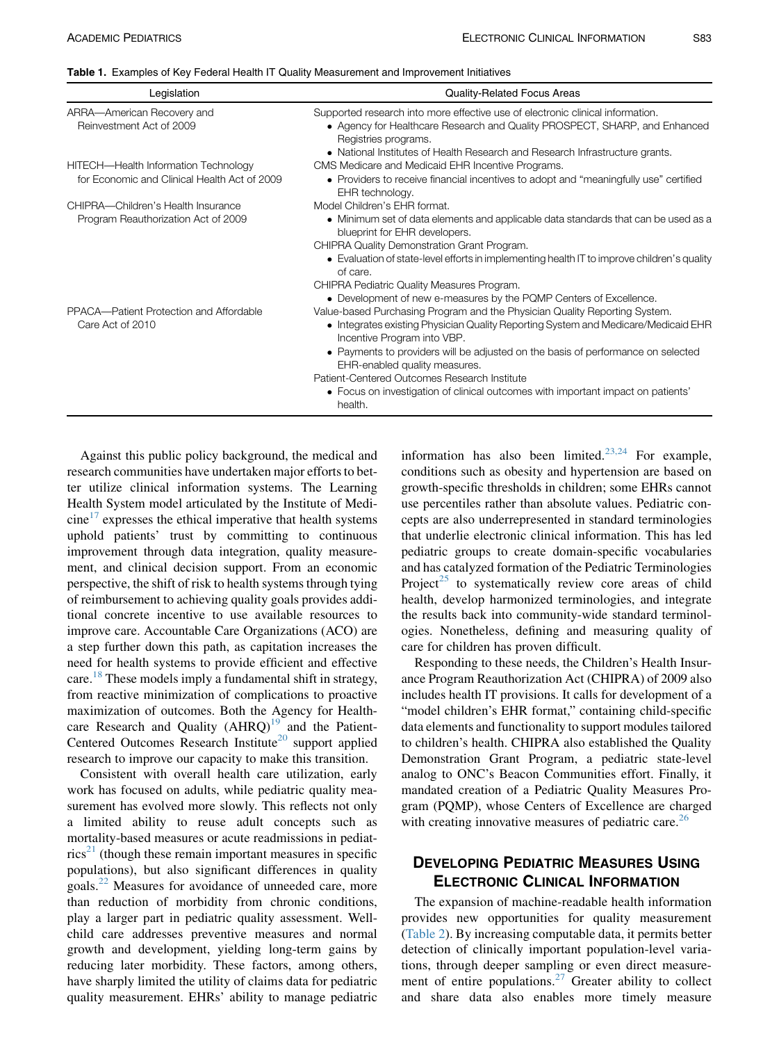#### <span id="page-1-0"></span>Table 1. Examples of Key Federal Health IT Quality Measurement and Improvement Initiatives

| Legislation                                                                          | <b>Quality-Related Focus Areas</b>                                                                                                                                                                                                                                   |
|--------------------------------------------------------------------------------------|----------------------------------------------------------------------------------------------------------------------------------------------------------------------------------------------------------------------------------------------------------------------|
| ARRA-American Recovery and<br>Reinvestment Act of 2009                               | Supported research into more effective use of electronic clinical information.<br>• Agency for Healthcare Research and Quality PROSPECT, SHARP, and Enhanced<br>Registries programs.<br>• National Institutes of Health Research and Research Infrastructure grants. |
| HITECH-Health Information Technology<br>for Economic and Clinical Health Act of 2009 | CMS Medicare and Medicaid EHR Incentive Programs.<br>• Providers to receive financial incentives to adopt and "meaningfully use" certified<br>EHR technology.                                                                                                        |
| CHIPRA—Children's Health Insurance<br>Program Reauthorization Act of 2009            | Model Children's EHR format.<br>• Minimum set of data elements and applicable data standards that can be used as a<br>blueprint for EHR developers.                                                                                                                  |
|                                                                                      | CHIPRA Quality Demonstration Grant Program.<br>• Evaluation of state-level efforts in implementing health IT to improve children's quality<br>of care.                                                                                                               |
|                                                                                      | CHIPRA Pediatric Quality Measures Program.<br>• Development of new e-measures by the PQMP Centers of Excellence.                                                                                                                                                     |
| PPACA-Patient Protection and Affordable<br>Care Act of 2010                          | Value-based Purchasing Program and the Physician Quality Reporting System.<br>• Integrates existing Physician Quality Reporting System and Medicare/Medicaid EHR<br>Incentive Program into VBP.                                                                      |
|                                                                                      | • Payments to providers will be adjusted on the basis of performance on selected<br>EHR-enabled quality measures.                                                                                                                                                    |
|                                                                                      | Patient-Centered Outcomes Research Institute<br>• Focus on investigation of clinical outcomes with important impact on patients'<br>health.                                                                                                                          |

Against this public policy background, the medical and research communities have undertaken major efforts to better utilize clinical information systems. The Learning Health System model articulated by the Institute of Medi- $\text{cine}^{17}$  expresses the ethical imperative that health systems uphold patients' trust by committing to continuous improvement through data integration, quality measurement, and clinical decision support. From an economic perspective, the shift of risk to health systems through tying of reimbursement to achieving quality goals provides additional concrete incentive to use available resources to improve care. Accountable Care Organizations (ACO) are a step further down this path, as capitation increases the need for health systems to provide efficient and effective care.<sup>[18](#page-7-0)</sup> These models imply a fundamental shift in strategy, from reactive minimization of complications to proactive maximization of outcomes. Both the Agency for Healthcare Research and Quality  $(AHRQ)^{19}$  and the Patient-Centered Outcomes Research Institute<sup>[20](#page-7-0)</sup> support applied research to improve our capacity to make this transition.

Consistent with overall health care utilization, early work has focused on adults, while pediatric quality measurement has evolved more slowly. This reflects not only a limited ability to reuse adult concepts such as mortality-based measures or acute readmissions in pediat- $\arccos^{21}$  $\arccos^{21}$  $\arccos^{21}$  (though these remain important measures in specific populations), but also significant differences in quality goals.[22](#page-7-0) Measures for avoidance of unneeded care, more than reduction of morbidity from chronic conditions, play a larger part in pediatric quality assessment. Wellchild care addresses preventive measures and normal growth and development, yielding long-term gains by reducing later morbidity. These factors, among others, have sharply limited the utility of claims data for pediatric quality measurement. EHRs' ability to manage pediatric

information has also been limited.<sup>[23,24](#page-7-0)</sup> For example, conditions such as obesity and hypertension are based on growth-specific thresholds in children; some EHRs cannot use percentiles rather than absolute values. Pediatric concepts are also underrepresented in standard terminologies that underlie electronic clinical information. This has led pediatric groups to create domain-specific vocabularies and has catalyzed formation of the Pediatric Terminologies Project<sup>[25](#page-7-0)</sup> to systematically review core areas of child health, develop harmonized terminologies, and integrate the results back into community-wide standard terminologies. Nonetheless, defining and measuring quality of care for children has proven difficult.

Responding to these needs, the Children's Health Insurance Program Reauthorization Act (CHIPRA) of 2009 also includes health IT provisions. It calls for development of a "model children's EHR format," containing child-specific data elements and functionality to support modules tailored to children's health. CHIPRA also established the Quality Demonstration Grant Program, a pediatric state-level analog to ONC's Beacon Communities effort. Finally, it mandated creation of a Pediatric Quality Measures Program (PQMP), whose Centers of Excellence are charged with creating innovative measures of pediatric care.<sup>[26](#page-7-0)</sup>

### **DEVELOPING PEDIATRIC MEASURES USING ELECTRONIC CLINICAL INFORMATION**

The expansion of machine-readable health information provides new opportunities for quality measurement ([Table 2](#page-2-0)). By increasing computable data, it permits better detection of clinically important population-level variations, through deeper sampling or even direct measurement of entire populations. $27$  Greater ability to collect and share data also enables more timely measure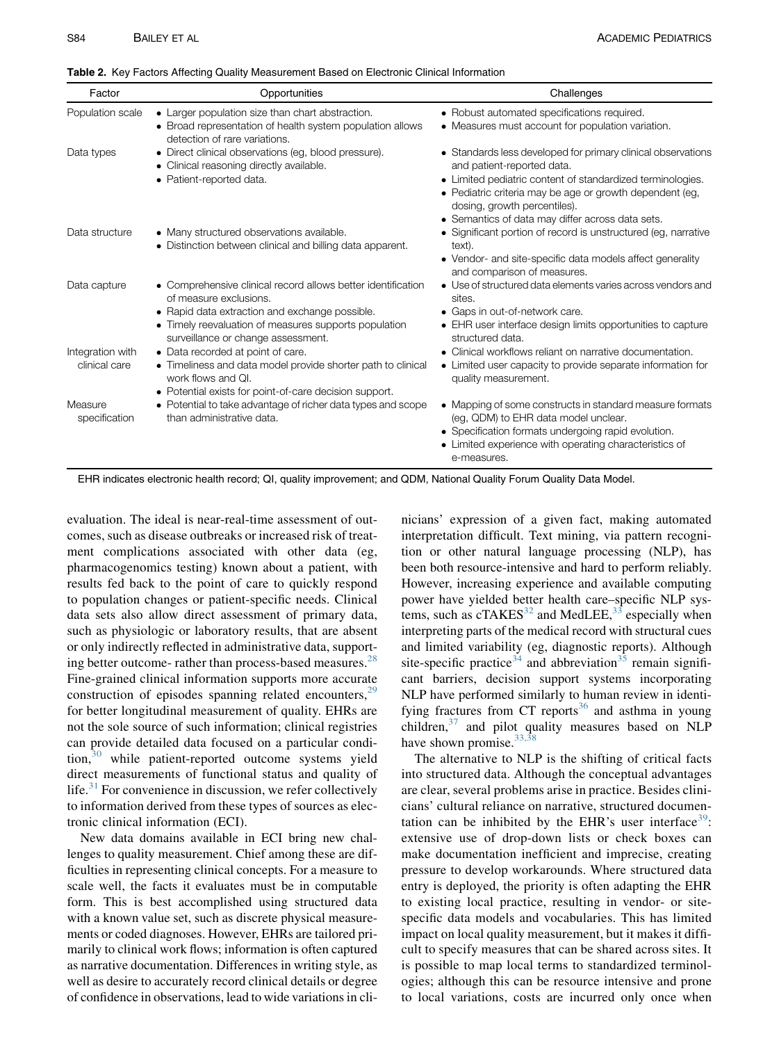| Factor                            | Opportunities                                                                                                                                                                                     | Challenges                                                                                                                                                                                                                       |
|-----------------------------------|---------------------------------------------------------------------------------------------------------------------------------------------------------------------------------------------------|----------------------------------------------------------------------------------------------------------------------------------------------------------------------------------------------------------------------------------|
| Population scale                  | • Larger population size than chart abstraction.                                                                                                                                                  | • Robust automated specifications required.                                                                                                                                                                                      |
|                                   | • Broad representation of health system population allows<br>detection of rare variations.                                                                                                        | • Measures must account for population variation.                                                                                                                                                                                |
| Data types                        | • Direct clinical observations (eg, blood pressure).<br>• Clinical reasoning directly available.                                                                                                  | • Standards less developed for primary clinical observations<br>and patient-reported data.                                                                                                                                       |
|                                   | • Patient-reported data.                                                                                                                                                                          | • Limited pediatric content of standardized terminologies.<br>• Pediatric criteria may be age or growth dependent (eq.<br>dosing, growth percentiles).<br>• Semantics of data may differ across data sets.                       |
| Data structure                    | • Many structured observations available.<br>• Distinction between clinical and billing data apparent.                                                                                            | • Significant portion of record is unstructured (eg, narrative<br>text).<br>• Vendor- and site-specific data models affect generality<br>and comparison of measures.                                                             |
| Data capture                      | • Comprehensive clinical record allows better identification<br>of measure exclusions.<br>• Rapid data extraction and exchange possible.<br>• Timely reevaluation of measures supports population | • Use of structured data elements varies across vendors and<br>sites.<br>• Gaps in out-of-network care.<br>• EHR user interface design limits opportunities to capture                                                           |
|                                   | surveillance or change assessment.                                                                                                                                                                | structured data.                                                                                                                                                                                                                 |
| Integration with<br>clinical care | • Data recorded at point of care.<br>• Timeliness and data model provide shorter path to clinical<br>work flows and OI.<br>• Potential exists for point-of-care decision support.                 | • Clinical workflows reliant on narrative documentation.<br>• Limited user capacity to provide separate information for<br>quality measurement.                                                                                  |
| Measure<br>specification          | • Potential to take advantage of richer data types and scope<br>than administrative data.                                                                                                         | • Mapping of some constructs in standard measure formats<br>(eg, QDM) to EHR data model unclear.<br>• Specification formats undergoing rapid evolution.<br>• Limited experience with operating characteristics of<br>e-measures. |

<span id="page-2-0"></span>Table 2. Key Factors Affecting Quality Measurement Based on Electronic Clinical Information

EHR indicates electronic health record; QI, quality improvement; and QDM, National Quality Forum Quality Data Model.

evaluation. The ideal is near-real-time assessment of outcomes, such as disease outbreaks or increased risk of treatment complications associated with other data (eg, pharmacogenomics testing) known about a patient, with results fed back to the point of care to quickly respond to population changes or patient-specific needs. Clinical data sets also allow direct assessment of primary data, such as physiologic or laboratory results, that are absent or only indirectly reflected in administrative data, support-ing better outcome- rather than process-based measures.<sup>[28](#page-7-0)</sup> Fine-grained clinical information supports more accurate construction of episodes spanning related encounters, $29$ for better longitudinal measurement of quality. EHRs are not the sole source of such information; clinical registries can provide detailed data focused on a particular condi- $\frac{30}{100}$  $\frac{30}{100}$  $\frac{30}{100}$  while patient-reported outcome systems yield direct measurements of functional status and quality of life. $31$  For convenience in discussion, we refer collectively to information derived from these types of sources as electronic clinical information (ECI).

New data domains available in ECI bring new challenges to quality measurement. Chief among these are difficulties in representing clinical concepts. For a measure to scale well, the facts it evaluates must be in computable form. This is best accomplished using structured data with a known value set, such as discrete physical measurements or coded diagnoses. However, EHRs are tailored primarily to clinical work flows; information is often captured as narrative documentation. Differences in writing style, as well as desire to accurately record clinical details or degree of confidence in observations, lead to wide variations in cli-

nicians' expression of a given fact, making automated interpretation difficult. Text mining, via pattern recognition or other natural language processing (NLP), has been both resource-intensive and hard to perform reliably. However, increasing experience and available computing power have yielded better health care–specific NLP systems, such as  $cTAKES^{32}$  $cTAKES^{32}$  $cTAKES^{32}$  and MedLEE,  $33$  especially when interpreting parts of the medical record with structural cues and limited variability (eg, diagnostic reports). Although site-specific practice<sup>[34](#page-7-0)</sup> and abbreviation<sup>[35](#page-7-0)</sup> remain significant barriers, decision support systems incorporating NLP have performed similarly to human review in identi-fying fractures from CT reports<sup>[36](#page-7-0)</sup> and asthma in young children, $37$  and pilot quality measures based on NLP have shown promise. $33,38$ 

The alternative to NLP is the shifting of critical facts into structured data. Although the conceptual advantages are clear, several problems arise in practice. Besides clinicians' cultural reliance on narrative, structured documentation can be inhibited by the EHR's user interface<sup>39</sup>: extensive use of drop-down lists or check boxes can make documentation inefficient and imprecise, creating pressure to develop workarounds. Where structured data entry is deployed, the priority is often adapting the EHR to existing local practice, resulting in vendor- or sitespecific data models and vocabularies. This has limited impact on local quality measurement, but it makes it difficult to specify measures that can be shared across sites. It is possible to map local terms to standardized terminologies; although this can be resource intensive and prone to local variations, costs are incurred only once when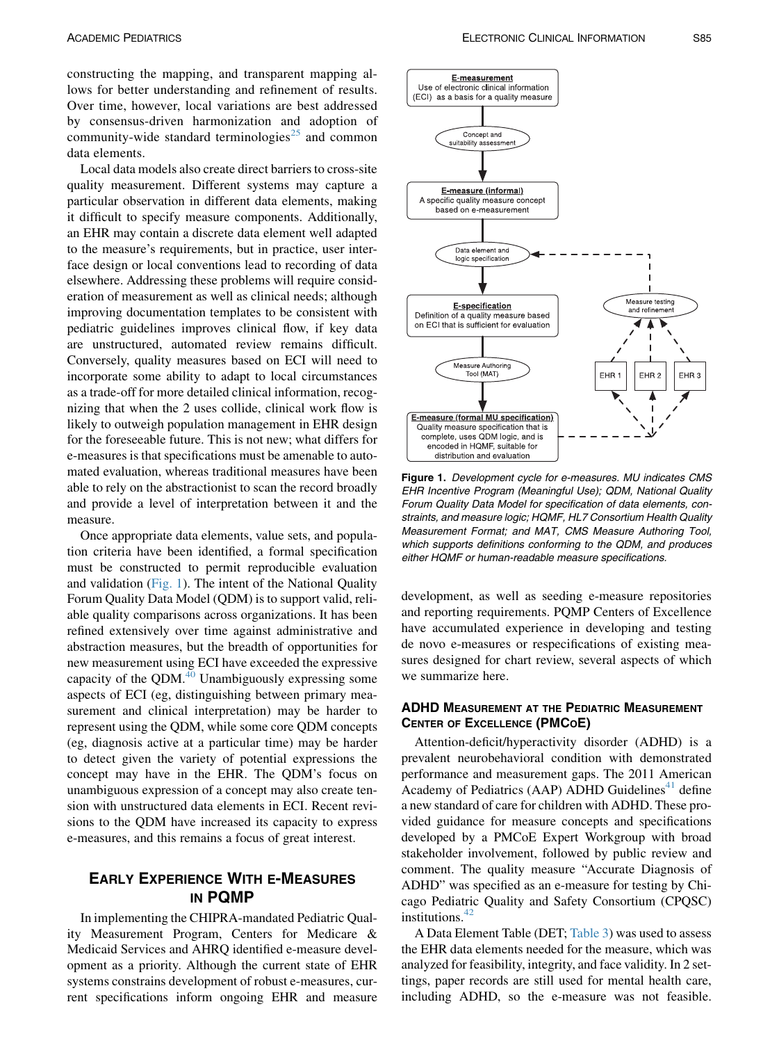constructing the mapping, and transparent mapping allows for better understanding and refinement of results. Over time, however, local variations are best addressed by consensus-driven harmonization and adoption of community-wide standard terminologies<sup>[25](#page-7-0)</sup> and common data elements.

Local data models also create direct barriers to cross-site quality measurement. Different systems may capture a particular observation in different data elements, making it difficult to specify measure components. Additionally, an EHR may contain a discrete data element well adapted to the measure's requirements, but in practice, user interface design or local conventions lead to recording of data elsewhere. Addressing these problems will require consideration of measurement as well as clinical needs; although improving documentation templates to be consistent with pediatric guidelines improves clinical flow, if key data are unstructured, automated review remains difficult. Conversely, quality measures based on ECI will need to incorporate some ability to adapt to local circumstances as a trade-off for more detailed clinical information, recognizing that when the 2 uses collide, clinical work flow is likely to outweigh population management in EHR design for the foreseeable future. This is not new; what differs for e-measures is that specifications must be amenable to automated evaluation, whereas traditional measures have been able to rely on the abstractionist to scan the record broadly and provide a level of interpretation between it and the measure.

Once appropriate data elements, value sets, and population criteria have been identified, a formal specification must be constructed to permit reproducible evaluation and validation (Fig. 1). The intent of the National Quality Forum Quality Data Model (QDM) is to support valid, reliable quality comparisons across organizations. It has been refined extensively over time against administrative and abstraction measures, but the breadth of opportunities for new measurement using ECI have exceeded the expressive capacity of the QDM. $40$  Unambiguously expressing some aspects of ECI (eg, distinguishing between primary measurement and clinical interpretation) may be harder to represent using the QDM, while some core QDM concepts (eg, diagnosis active at a particular time) may be harder to detect given the variety of potential expressions the concept may have in the EHR. The QDM's focus on unambiguous expression of a concept may also create tension with unstructured data elements in ECI. Recent revisions to the QDM have increased its capacity to express e-measures, and this remains a focus of great interest.

#### **EARLY EXPERIENCE WITH E-MEASURES** IN PQMP

In implementing the CHIPRA-mandated Pediatric Quality Measurement Program, Centers for Medicare & Medicaid Services and AHRQ identified e-measure development as a priority. Although the current state of EHR systems constrains development of robust e-measures, current specifications inform ongoing EHR and measure



Figure 1. Development cycle for e-measures. MU indicates CMS EHR Incentive Program (Meaningful Use); QDM, National Quality Forum Quality Data Model for specification of data elements, constraints, and measure logic; HQMF, HL7 Consortium Health Quality Measurement Format; and MAT, CMS Measure Authoring Tool, which supports definitions conforming to the QDM, and produces either HQMF or human-readable measure specifications.

development, as well as seeding e-measure repositories and reporting requirements. PQMP Centers of Excellence have accumulated experience in developing and testing de novo e-measures or respecifications of existing measures designed for chart review, several aspects of which we summarize here.

## ADHD Measurement at the Pediatric Measurement<br>Center of Excellence (PMCoE)

Attention-deficit/hyperactivity disorder (ADHD) is a prevalent neurobehavioral condition with demonstrated performance and measurement gaps. The 2011 American Academy of Pediatrics (AAP) ADHD Guidelines<sup>[41](#page-7-0)</sup> define a new standard of care for children with ADHD. These provided guidance for measure concepts and specifications developed by a PMCoE Expert Workgroup with broad stakeholder involvement, followed by public review and comment. The quality measure "Accurate Diagnosis of ADHD" was specified as an e-measure for testing by Chicago Pediatric Quality and Safety Consortium (CPQSC) institutions.<sup>[42](#page-7-0)</sup>

A Data Element Table (DET; [Table 3](#page-4-0)) was used to assess the EHR data elements needed for the measure, which was analyzed for feasibility, integrity, and face validity. In 2 settings, paper records are still used for mental health care, including ADHD, so the e-measure was not feasible.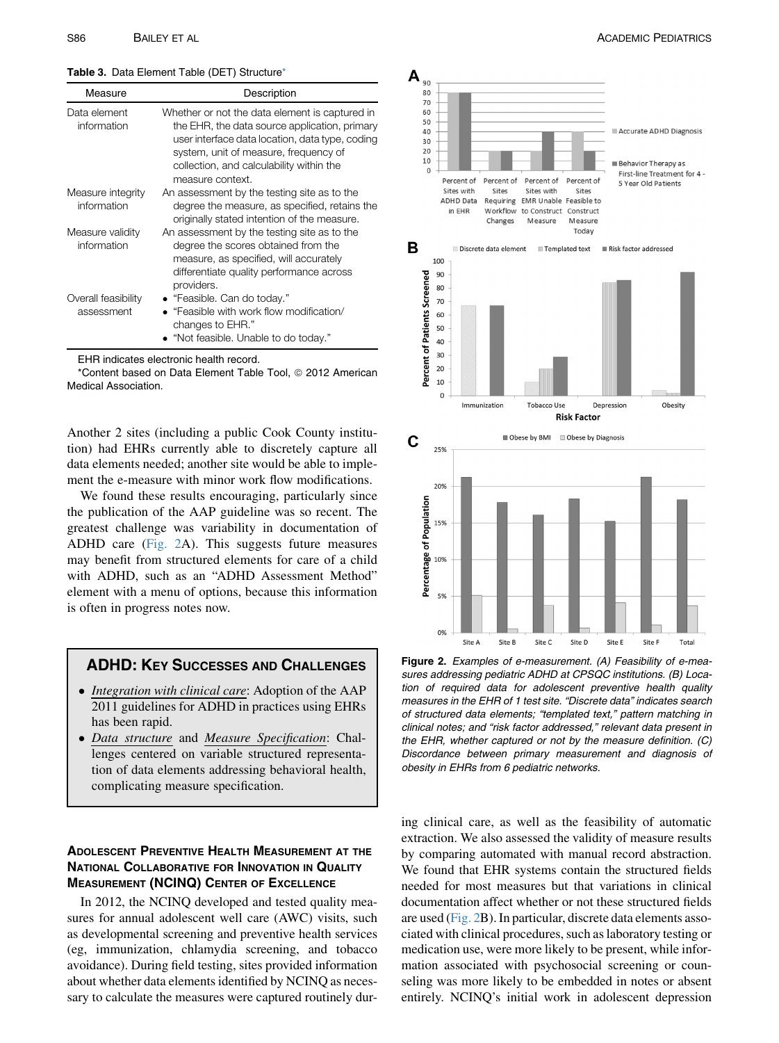#### <span id="page-4-0"></span>Table 3. Data Element Table (DET) Structure\*

| Measure                           | Description                                                                                                                                                                                                                                                 |
|-----------------------------------|-------------------------------------------------------------------------------------------------------------------------------------------------------------------------------------------------------------------------------------------------------------|
| Data element<br>information       | Whether or not the data element is captured in<br>the EHR, the data source application, primary<br>user interface data location, data type, coding<br>system, unit of measure, frequency of<br>collection, and calculability within the<br>measure context. |
| Measure integrity<br>information  | An assessment by the testing site as to the<br>degree the measure, as specified, retains the<br>originally stated intention of the measure.                                                                                                                 |
| Measure validity<br>information   | An assessment by the testing site as to the<br>degree the scores obtained from the<br>measure, as specified, will accurately<br>differentiate quality performance across<br>providers.                                                                      |
| Overall feasibility<br>assessment | • "Feasible. Can do today."<br>$\bullet$ "Feasible with work flow modification/<br>changes to EHR."<br>• "Not feasible. Unable to do today."                                                                                                                |

EHR indicates electronic health record.

\*Content based on Data Element Table Tool, © 2012 American Medical Association.

Another 2 sites (including a public Cook County institution) had EHRs currently able to discretely capture all data elements needed; another site would be able to implement the e-measure with minor work flow modifications.

We found these results encouraging, particularly since the publication of the AAP guideline was so recent. The greatest challenge was variability in documentation of ADHD care (Fig. 2A). This suggests future measures may benefit from structured elements for care of a child with ADHD, such as an "ADHD Assessment Method" element with a menu of options, because this information is often in progress notes now.

#### **ADHD: KEY SUCCESSES AND CHALLENGES** ADHD: KEY SUCCESSES AND CHALLENGES

- *Integration with clinical care*: Adoption of the AAP 2011 guidelines for ADHD in practices using EHRs has been rapid.
- Data structure and Measure Specification: Challenges centered on variable structured representation of data elements addressing behavioral health, complicating measure specification.

#### **ADOLESCENT PREVENTIVE HEALTH MEASUREMENT AT THE** NATIONAL COLLABORATIVE FOR INNOVATION IN QUALITY **MEASUREMENT (NCINQ) CENTER OF EXCELLENCE**

In 2012, the NCINQ developed and tested quality measures for annual adolescent well care (AWC) visits, such as developmental screening and preventive health services (eg, immunization, chlamydia screening, and tobacco avoidance). During field testing, sites provided information about whether data elements identified by NCINQ as necessary to calculate the measures were captured routinely dur-



Figure 2. Examples of e-measurement. (A) Feasibility of e-measures addressing pediatric ADHD at CPSQC institutions. (B) Location of required data for adolescent preventive health quality measures in the EHR of 1 test site. "Discrete data" indicates search of structured data elements; "templated text," pattern matching in clinical notes; and "risk factor addressed," relevant data present in the EHR, whether captured or not by the measure definition. (C) Discordance between primary measurement and diagnosis of obesity in EHRs from 6 pediatric networks.

ing clinical care, as well as the feasibility of automatic extraction. We also assessed the validity of measure results by comparing automated with manual record abstraction. We found that EHR systems contain the structured fields needed for most measures but that variations in clinical documentation affect whether or not these structured fields are used (Fig. 2B). In particular, discrete data elements associated with clinical procedures, such as laboratory testing or medication use, were more likely to be present, while information associated with psychosocial screening or counseling was more likely to be embedded in notes or absent entirely. NCINQ's initial work in adolescent depression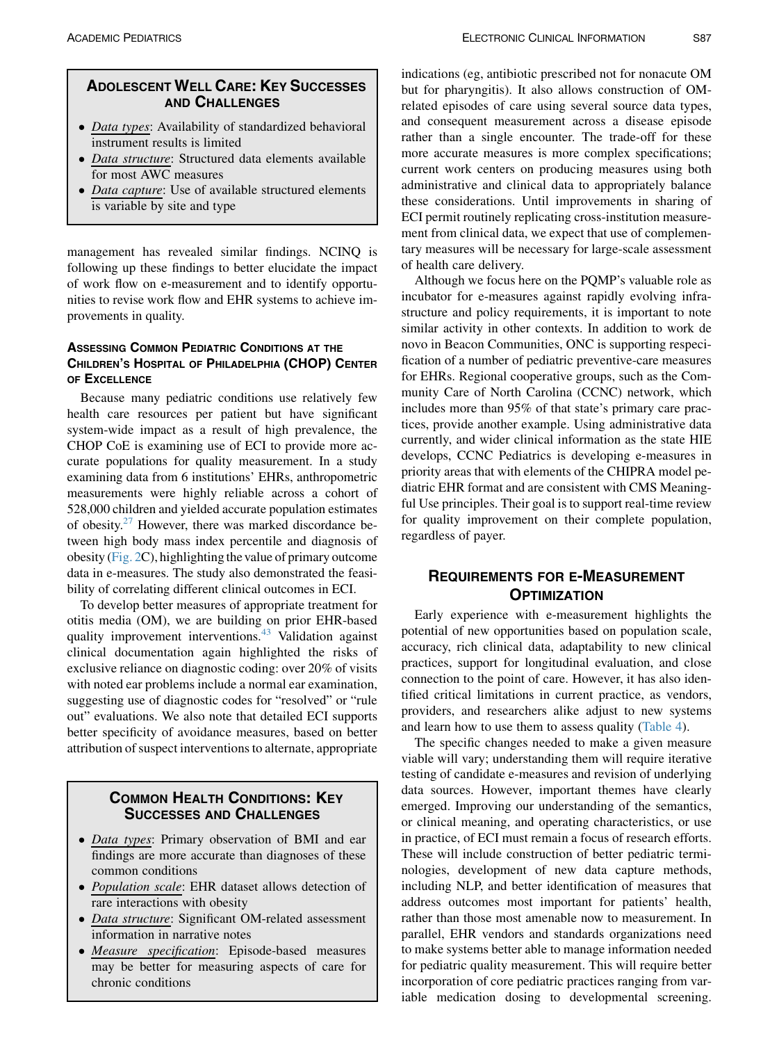#### **ADOLESCENT WELL CARE: KEY SUCCESSES AND CHALLENGES** AND CHALLENGES

- *Data types*: Availability of standardized behavioral instrument results is limited
- Data structure: Structured data elements available for most AWC measures
- Data capture: Use of available structured elements is variable by site and type

management has revealed similar findings. NCINQ is following up these findings to better elucidate the impact of work flow on e-measurement and to identify opportunities to revise work flow and EHR systems to achieve improvements in quality.

### ASSESSING COMMON PEDIATRIC CONDITIONS AT THE CHILDREN'S HOSPITAL OF PHILADELPHIA (CHOP) CENTER OF EXCELLENCE

Because many pediatric conditions use relatively few health care resources per patient but have significant system-wide impact as a result of high prevalence, the CHOP CoE is examining use of ECI to provide more accurate populations for quality measurement. In a study examining data from 6 institutions' EHRs, anthropometric measurements were highly reliable across a cohort of 528,000 children and yielded accurate population estimates of obesity. $27$  However, there was marked discordance between high body mass index percentile and diagnosis of obesity ([Fig. 2](#page-4-0)C), highlighting the value of primary outcome data in e-measures. The study also demonstrated the feasibility of correlating different clinical outcomes in ECI.

To develop better measures of appropriate treatment for otitis media (OM), we are building on prior EHR-based quality improvement interventions.<sup>43</sup> Validation against clinical documentation again highlighted the risks of exclusive reliance on diagnostic coding: over 20% of visits with noted ear problems include a normal ear examination, suggesting use of diagnostic codes for "resolved" or "rule out" evaluations. We also note that detailed ECI supports better specificity of avoidance measures, based on better attribution of suspect interventions to alternate, appropriate

### **COMMON HEALTH CONDITIONS: KEY SUCCESSES AND CHALLENGES**

- SUCCESSES AND CHALLENGES • *Data types*: Primary observation of BMI and ear findings are more accurate than diagnoses of these common conditions
- Population scale: EHR dataset allows detection of rare interactions with obesity
- Data structure: Significant OM-related assessment information in narrative notes
- Measure specification: Episode-based measures may be better for measuring aspects of care for chronic conditions

indications (eg, antibiotic prescribed not for nonacute OM but for pharyngitis). It also allows construction of OMrelated episodes of care using several source data types, and consequent measurement across a disease episode rather than a single encounter. The trade-off for these more accurate measures is more complex specifications; current work centers on producing measures using both administrative and clinical data to appropriately balance these considerations. Until improvements in sharing of ECI permit routinely replicating cross-institution measurement from clinical data, we expect that use of complementary measures will be necessary for large-scale assessment of health care delivery.

Although we focus here on the PQMP's valuable role as incubator for e-measures against rapidly evolving infrastructure and policy requirements, it is important to note similar activity in other contexts. In addition to work de novo in Beacon Communities, ONC is supporting respecification of a number of pediatric preventive-care measures for EHRs. Regional cooperative groups, such as the Community Care of North Carolina (CCNC) network, which includes more than 95% of that state's primary care practices, provide another example. Using administrative data currently, and wider clinical information as the state HIE develops, CCNC Pediatrics is developing e-measures in priority areas that with elements of the CHIPRA model pediatric EHR format and are consistent with CMS Meaningful Use principles. Their goal is to support real-time review for quality improvement on their complete population, regardless of payer.

#### **REQUIREMENTS FOR E-MEASUREMENT OPTIMIZATION**

Early experience with e-measurement highlights the potential of new opportunities based on population scale, accuracy, rich clinical data, adaptability to new clinical practices, support for longitudinal evaluation, and close connection to the point of care. However, it has also identified critical limitations in current practice, as vendors, providers, and researchers alike adjust to new systems and learn how to use them to assess quality ([Table 4](#page-6-0)).

The specific changes needed to make a given measure viable will vary; understanding them will require iterative testing of candidate e-measures and revision of underlying data sources. However, important themes have clearly emerged. Improving our understanding of the semantics, or clinical meaning, and operating characteristics, or use in practice, of ECI must remain a focus of research efforts. These will include construction of better pediatric terminologies, development of new data capture methods, including NLP, and better identification of measures that address outcomes most important for patients' health, rather than those most amenable now to measurement. In parallel, EHR vendors and standards organizations need to make systems better able to manage information needed for pediatric quality measurement. This will require better incorporation of core pediatric practices ranging from variable medication dosing to developmental screening.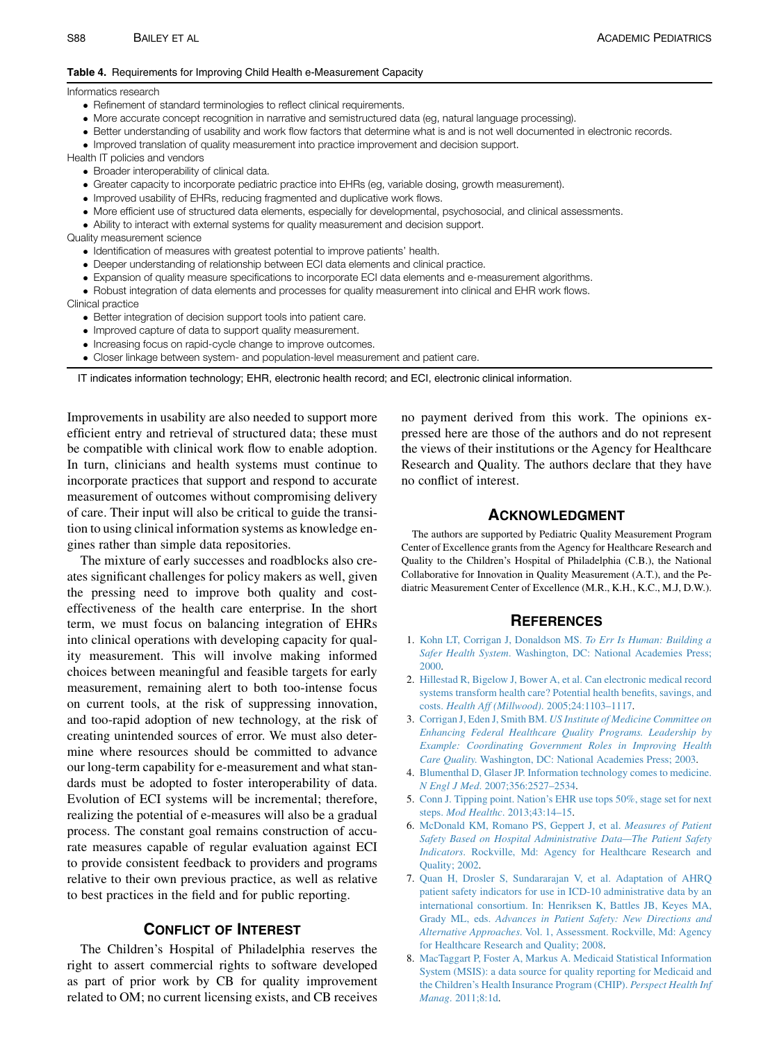#### <span id="page-6-0"></span>Table 4. Requirements for Improving Child Health e-Measurement Capacity

Informatics research

- Refinement of standard terminologies to reflect clinical requirements.
- More accurate concept recognition in narrative and semistructured data (eg, natural language processing).
- Better understanding of usability and work flow factors that determine what is and is not well documented in electronic records.
- Improved translation of quality measurement into practice improvement and decision support.

Health IT policies and vendors

- Broader interoperability of clinical data.
- Greater capacity to incorporate pediatric practice into EHRs (eg, variable dosing, growth measurement).
- Improved usability of EHRs, reducing fragmented and duplicative work flows.
- More efficient use of structured data elements, especially for developmental, psychosocial, and clinical assessments.
- Ability to interact with external systems for quality measurement and decision support.
- Quality measurement science
	- Identification of measures with greatest potential to improve patients' health.
	- Deeper understanding of relationship between ECI data elements and clinical practice.
	- Expansion of quality measure specifications to incorporate ECI data elements and e-measurement algorithms.

Robust integration of data elements and processes for quality measurement into clinical and EHR work flows.

Clinical practice

- Better integration of decision support tools into patient care.
- Improved capture of data to support quality measurement.
- Increasing focus on rapid-cycle change to improve outcomes.
- Closer linkage between system- and population-level measurement and patient care.

IT indicates information technology; EHR, electronic health record; and ECI, electronic clinical information.

Improvements in usability are also needed to support more efficient entry and retrieval of structured data; these must be compatible with clinical work flow to enable adoption. In turn, clinicians and health systems must continue to incorporate practices that support and respond to accurate measurement of outcomes without compromising delivery of care. Their input will also be critical to guide the transition to using clinical information systems as knowledge engines rather than simple data repositories.

The mixture of early successes and roadblocks also creates significant challenges for policy makers as well, given the pressing need to improve both quality and costeffectiveness of the health care enterprise. In the short term, we must focus on balancing integration of EHRs into clinical operations with developing capacity for quality measurement. This will involve making informed choices between meaningful and feasible targets for early measurement, remaining alert to both too-intense focus on current tools, at the risk of suppressing innovation, and too-rapid adoption of new technology, at the risk of creating unintended sources of error. We must also determine where resources should be committed to advance our long-term capability for e-measurement and what standards must be adopted to foster interoperability of data. Evolution of ECI systems will be incremental; therefore, realizing the potential of e-measures will also be a gradual process. The constant goal remains construction of accurate measures capable of regular evaluation against ECI to provide consistent feedback to providers and programs relative to their own previous practice, as well as relative to best practices in the field and for public reporting.

The Children's Hospital of Philadelphia reserves the right to assert commercial rights to software developed as part of prior work by CB for quality improvement related to OM; no current licensing exists, and CB receives

no payment derived from this work. The opinions expressed here are those of the authors and do not represent the views of their institutions or the Agency for Healthcare Research and Quality. The authors declare that they have no conflict of interest.

#### **ACKNOWLEDGMENT**

The authors are supported by Pediatric Quality Measurement Program Center of Excellence grants from the Agency for Healthcare Research and Quality to the Children's Hospital of Philadelphia (C.B.), the National Collaborative for Innovation in Quality Measurement (A.T.), and the Pediatric Measurement Center of Excellence (M.R., K.H., K.C., M.J, D.W.).

- 1. [Kohn LT, Corrigan J, Donaldson MS.](http://refhub.elsevier.com/S1876-2859(14)00215-0/sref1) To Err Is Human: Building a Safer Health System[. Washington, DC: National Academies Press;](http://refhub.elsevier.com/S1876-2859(14)00215-0/sref1) [2000](http://refhub.elsevier.com/S1876-2859(14)00215-0/sref1).
- 2. [Hillestad R, Bigelow J, Bower A, et al. Can electronic medical record](http://refhub.elsevier.com/S1876-2859(14)00215-0/sref2) [systems transform health care? Potential health benefits, savings, and](http://refhub.elsevier.com/S1876-2859(14)00215-0/sref2) costs. [Health Aff \(Millwood\)](http://refhub.elsevier.com/S1876-2859(14)00215-0/sref2). 2005;24:1103–1117.
- 3. Corrigan J, Eden J, Smith BM. [US Institute of Medicine Committee on](http://refhub.elsevier.com/S1876-2859(14)00215-0/sref3) [Enhancing Federal Healthcare Quality Programs. Leadership by](http://refhub.elsevier.com/S1876-2859(14)00215-0/sref3) [Example: Coordinating Government Roles in Improving Health](http://refhub.elsevier.com/S1876-2859(14)00215-0/sref3) Care Quality[. Washington, DC: National Academies Press; 2003.](http://refhub.elsevier.com/S1876-2859(14)00215-0/sref3)
- 4. [Blumenthal D, Glaser JP. Information technology comes to medicine.](http://refhub.elsevier.com/S1876-2859(14)00215-0/sref4) N Engl J Med[. 2007;356:2527–2534](http://refhub.elsevier.com/S1876-2859(14)00215-0/sref4).
- 5. [Conn J. Tipping point. Nation's EHR use tops 50%, stage set for next](http://refhub.elsevier.com/S1876-2859(14)00215-0/sref5) steps. Mod Healthc[. 2013;43:14–15.](http://refhub.elsevier.com/S1876-2859(14)00215-0/sref5)
- 6. [McDonald KM, Romano PS, Geppert J, et al.](http://refhub.elsevier.com/S1876-2859(14)00215-0/sref6a) Measures of Patient [Safety Based on Hospital Administrative Data—The Patient Safety](http://refhub.elsevier.com/S1876-2859(14)00215-0/sref6a) Indicators[. Rockville, Md: Agency for Healthcare Research and](http://refhub.elsevier.com/S1876-2859(14)00215-0/sref6a) [Quality; 2002](http://refhub.elsevier.com/S1876-2859(14)00215-0/sref6a).
- 7. [Quan H, Drosler S, Sundararajan V, et al. Adaptation of AHRQ](http://refhub.elsevier.com/S1876-2859(14)00215-0/sref7a) [patient safety indicators for use in ICD-10 administrative data by an](http://refhub.elsevier.com/S1876-2859(14)00215-0/sref7a) [international consortium. In: Henriksen K, Battles JB, Keyes MA,](http://refhub.elsevier.com/S1876-2859(14)00215-0/sref7a) Grady ML, eds. [Advances in Patient Safety: New Directions and](http://refhub.elsevier.com/S1876-2859(14)00215-0/sref7a) Alternative Approaches[. Vol. 1, Assessment. Rockville, Md: Agency](http://refhub.elsevier.com/S1876-2859(14)00215-0/sref7a) [for Healthcare Research and Quality; 2008.](http://refhub.elsevier.com/S1876-2859(14)00215-0/sref7a)
- 8. [MacTaggart P, Foster A, Markus A. Medicaid Statistical Information](http://refhub.elsevier.com/S1876-2859(14)00215-0/sref6) [System \(MSIS\): a data source for quality reporting for Medicaid and](http://refhub.elsevier.com/S1876-2859(14)00215-0/sref6) [the Children's Health Insurance Program \(CHIP\).](http://refhub.elsevier.com/S1876-2859(14)00215-0/sref6) Perspect Health Inf Manag[. 2011;8:1d](http://refhub.elsevier.com/S1876-2859(14)00215-0/sref6).